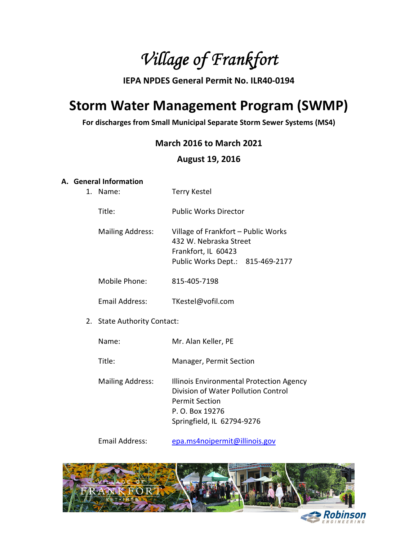Village of Frankfort

# IEPA NPDES General Permit No. ILR40-0194

# Storm Water Management Program (SWMP)

For discharges from Small Municipal Separate Storm Sewer Systems (MS4)

# March 2016 to March 2021

# August 19, 2016

# A. General Information

| 1. | Name:                       | <b>Terry Kestel</b>                                                                                                                                       |  |
|----|-----------------------------|-----------------------------------------------------------------------------------------------------------------------------------------------------------|--|
|    | Title:                      | <b>Public Works Director</b>                                                                                                                              |  |
|    | <b>Mailing Address:</b>     | Village of Frankfort - Public Works<br>432 W. Nebraska Street<br>Frankfort, IL 60423<br>Public Works Dept.: 815-469-2177                                  |  |
|    | Mobile Phone:               | 815-405-7198                                                                                                                                              |  |
|    | Email Address:              | TKestel@vofil.com                                                                                                                                         |  |
|    | 2. State Authority Contact: |                                                                                                                                                           |  |
|    | Name:                       | Mr. Alan Keller, PE                                                                                                                                       |  |
|    | Title:                      | Manager, Permit Section                                                                                                                                   |  |
|    | <b>Mailing Address:</b>     | Illinois Environmental Protection Agency<br>Division of Water Pollution Control<br><b>Permit Section</b><br>P. O. Box 19276<br>Springfield, IL 62794-9276 |  |
|    |                             |                                                                                                                                                           |  |

Email Address: epa.ms4noipermit@illinois.gov

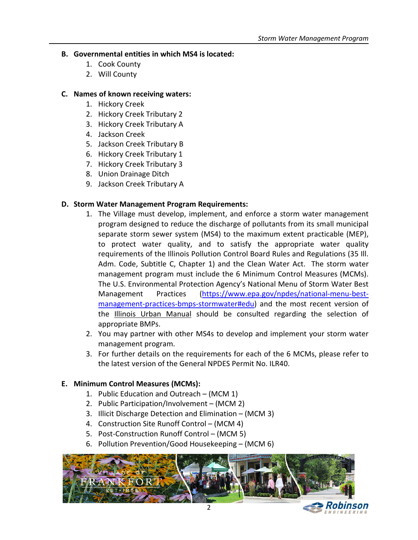## B. Governmental entities in which MS4 is located:

- 1. Cook County
- 2. Will County

## C. Names of known receiving waters:

- 1. Hickory Creek
- 2. Hickory Creek Tributary 2
- 3. Hickory Creek Tributary A
- 4. Jackson Creek
- 5. Jackson Creek Tributary B
- 6. Hickory Creek Tributary 1
- 7. Hickory Creek Tributary 3
- 8. Union Drainage Ditch
- 9. Jackson Creek Tributary A

# D. Storm Water Management Program Requirements:

- 1. The Village must develop, implement, and enforce a storm water management program designed to reduce the discharge of pollutants from its small municipal separate storm sewer system (MS4) to the maximum extent practicable (MEP), to protect water quality, and to satisfy the appropriate water quality requirements of the Illinois Pollution Control Board Rules and Regulations (35 Ill. Adm. Code, Subtitle C, Chapter 1) and the Clean Water Act. The storm water management program must include the 6 Minimum Control Measures (MCMs). The U.S. Environmental Protection Agency's National Menu of Storm Water Best Management Practices (https://www.epa.gov/npdes/national-menu-bestmanagement-practices-bmps-stormwater#edu) and the most recent version of the Illinois Urban Manual should be consulted regarding the selection of appropriate BMPs.
- 2. You may partner with other MS4s to develop and implement your storm water management program.
- 3. For further details on the requirements for each of the 6 MCMs, please refer to the latest version of the General NPDES Permit No. ILR40.

## E. Minimum Control Measures (MCMs):

- 1. Public Education and Outreach (MCM 1)
- 2. Public Participation/Involvement (MCM 2)
- 3. Illicit Discharge Detection and Elimination (MCM 3)
- 4. Construction Site Runoff Control (MCM 4)
- 5. Post-Construction Runoff Control (MCM 5)
- 6. Pollution Prevention/Good Housekeeping (MCM 6)

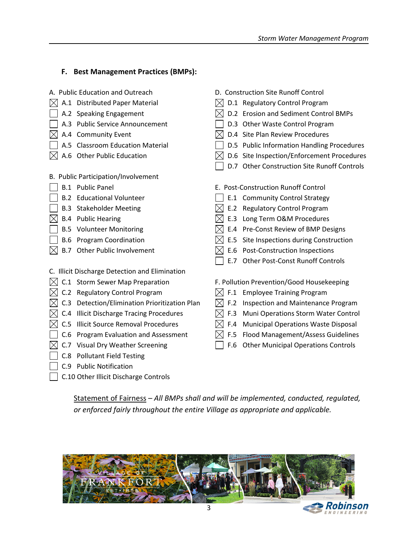## F. Best Management Practices (BMPs):

| A. Public Education and Outreach                | D. Construction Site Runoff Control               |  |  |
|-------------------------------------------------|---------------------------------------------------|--|--|
| A.1 Distributed Paper Material                  | D.1 Regulatory Control Program                    |  |  |
| A.2 Speaking Engagement                         | D.2 Erosion and Sediment Control BMPs             |  |  |
| A.3 Public Service Announcement                 | D.3 Other Waste Control Program                   |  |  |
| A.4 Community Event                             | D.4 Site Plan Review Procedures                   |  |  |
| A.5 Classroom Education Material                | D.5 Public Information Handling Procedures        |  |  |
| A.6 Other Public Education                      | D.6 Site Inspection/Enforcement Procedures        |  |  |
|                                                 | D.7 Other Construction Site Runoff Controls       |  |  |
| B. Public Participation/Involvement             |                                                   |  |  |
| <b>B.1</b> Public Panel                         | E. Post-Construction Runoff Control               |  |  |
| <b>B.2 Educational Volunteer</b>                | E.1 Community Control Strategy                    |  |  |
| <b>B.3 Stakeholder Meeting</b>                  | <b>Regulatory Control Program</b><br>E.2          |  |  |
| <b>B.4</b> Public Hearing                       | Long Term O&M Procedures<br>E.3                   |  |  |
| <b>B.5 Volunteer Monitoring</b>                 | Pre-Const Review of BMP Designs<br>E.4            |  |  |
| <b>B.6 Program Coordination</b>                 | Site Inspections during Construction<br>E.5       |  |  |
| Other Public Involvement<br>B.7                 | E.6 Post-Construction Inspections                 |  |  |
|                                                 | E.7<br><b>Other Post-Const Runoff Controls</b>    |  |  |
| C. Illicit Discharge Detection and Elimination  |                                                   |  |  |
| C.1 Storm Sewer Map Preparation                 | F. Pollution Prevention/Good Housekeeping         |  |  |
| C.2 Regulatory Control Program                  | F.1<br><b>Employee Training Program</b>           |  |  |
| C.3 Detection/Elimination Prioritization Plan   | F.2<br>Inspection and Maintenance Program         |  |  |
| C.4 Illicit Discharge Tracing Procedures        | Muni Operations Storm Water Control<br>F.3        |  |  |
| C.5<br><b>Illicit Source Removal Procedures</b> | F.4<br><b>Municipal Operations Waste Disposal</b> |  |  |
| Program Evaluation and Assessment<br>C.6        | Flood Management/Assess Guidelines<br>F.5         |  |  |
| C.7 Visual Dry Weather Screening                | <b>Other Municipal Operations Controls</b><br>F.6 |  |  |
| C.8 Pollutant Field Testing                     |                                                   |  |  |
| C.9 Public Notification                         |                                                   |  |  |
| C.10 Other Illicit Discharge Controls           |                                                   |  |  |

Statement of Fairness – All BMPs shall and will be implemented, conducted, regulated, or enforced fairly throughout the entire Village as appropriate and applicable.

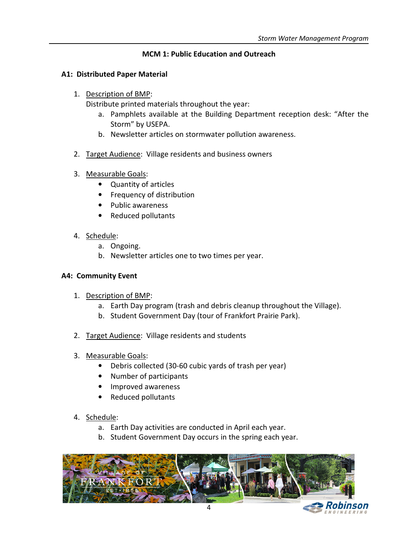# MCM 1: Public Education and Outreach

## A1: Distributed Paper Material

1. Description of BMP:

Distribute printed materials throughout the year:

- a. Pamphlets available at the Building Department reception desk: "After the Storm" by USEPA.
- b. Newsletter articles on stormwater pollution awareness.
- 2. Target Audience: Village residents and business owners
- 3. Measurable Goals:
	- Quantity of articles
	- Frequency of distribution
	- Public awareness
	- Reduced pollutants
- 4. Schedule:
	- a. Ongoing.
	- b. Newsletter articles one to two times per year.

## A4: Community Event

- 1. Description of BMP:
	- a. Earth Day program (trash and debris cleanup throughout the Village).
	- b. Student Government Day (tour of Frankfort Prairie Park).
- 2. Target Audience: Village residents and students
- 3. Measurable Goals:
	- Debris collected (30-60 cubic yards of trash per year)
	- Number of participants
	- Improved awareness
	- Reduced pollutants

- a. Earth Day activities are conducted in April each year.
- b. Student Government Day occurs in the spring each year.

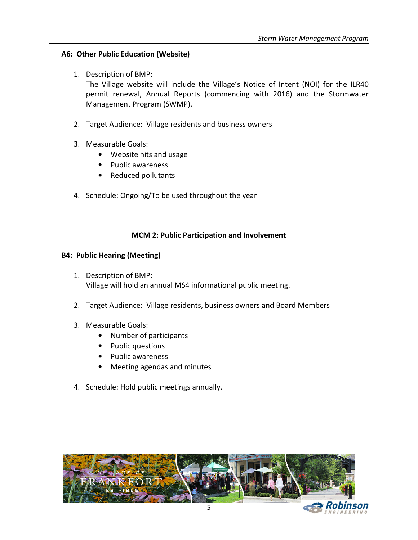# A6: Other Public Education (Website)

1. Description of BMP:

The Village website will include the Village's Notice of Intent (NOI) for the ILR40 permit renewal, Annual Reports (commencing with 2016) and the Stormwater Management Program (SWMP).

- 2. Target Audience: Village residents and business owners
- 3. Measurable Goals:
	- Website hits and usage
	- Public awareness
	- Reduced pollutants
- 4. Schedule: Ongoing/To be used throughout the year

## MCM 2: Public Participation and Involvement

## B4: Public Hearing (Meeting)

- 1. Description of BMP: Village will hold an annual MS4 informational public meeting.
- 2. Target Audience: Village residents, business owners and Board Members

## 3. Measurable Goals:

- Number of participants
- Public questions
- Public awareness
- Meeting agendas and minutes
- 4. Schedule: Hold public meetings annually.

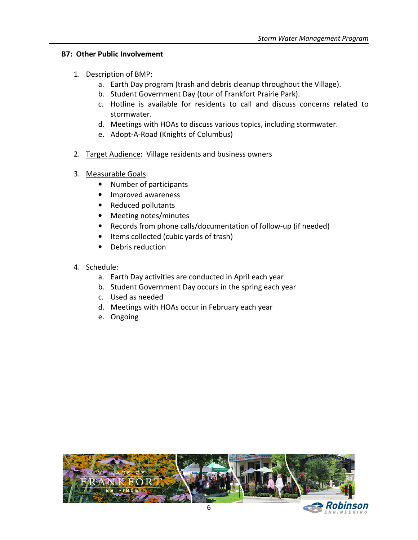## B7: Other Public Involvement

## 1. Description of BMP:

- a. Earth Day program (trash and debris cleanup throughout the Village).
- b. Student Government Day (tour of Frankfort Prairie Park).
- c. Hotline is available for residents to call and discuss concerns related to stormwater.
- d. Meetings with HOAs to discuss various topics, including stormwater.
- e. Adopt-A-Road (Knights of Columbus)
- 2. Target Audience: Village residents and business owners
- 3. Measurable Goals:
	- Number of participants
	- Improved awareness
	- Reduced pollutants
	- Meeting notes/minutes
	- Records from phone calls/documentation of follow-up (if needed)
	- Items collected (cubic yards of trash)
	- Debris reduction
- 4. Schedule:
	- a. Earth Day activities are conducted in April each year
	- b. Student Government Day occurs in the spring each year
	- c. Used as needed
	- d. Meetings with HOAs occur in February each year
	- e. Ongoing

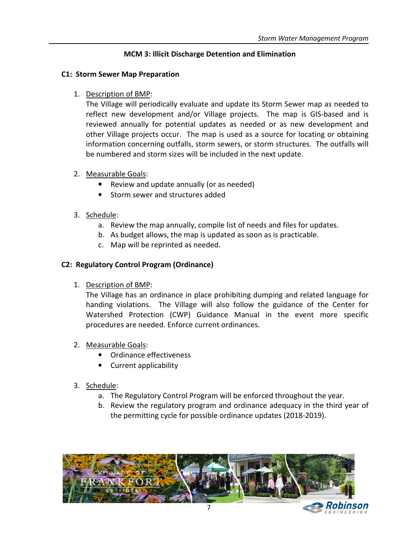# MCM 3: Illicit Discharge Detention and Elimination

## C1: Storm Sewer Map Preparation

1. Description of BMP:

The Village will periodically evaluate and update its Storm Sewer map as needed to reflect new development and/or Village projects. The map is GIS-based and is reviewed annually for potential updates as needed or as new development and other Village projects occur. The map is used as a source for locating or obtaining information concerning outfalls, storm sewers, or storm structures. The outfalls will be numbered and storm sizes will be included in the next update.

- 2. Measurable Goals:
	- Review and update annually (or as needed)
	- Storm sewer and structures added
- 3. Schedule:
	- a. Review the map annually, compile list of needs and files for updates.
	- b. As budget allows, the map is updated as soon as is practicable.
	- c. Map will be reprinted as needed.

# C2: Regulatory Control Program (Ordinance)

## 1. Description of BMP:

The Village has an ordinance in place prohibiting dumping and related language for handing violations. The Village will also follow the guidance of the Center for Watershed Protection (CWP) Guidance Manual in the event more specific procedures are needed. Enforce current ordinances.

- 2. Measurable Goals:
	- Ordinance effectiveness
	- Current applicability

- a. The Regulatory Control Program will be enforced throughout the year.
- b. Review the regulatory program and ordinance adequacy in the third year of the permitting cycle for possible ordinance updates (2018-2019).

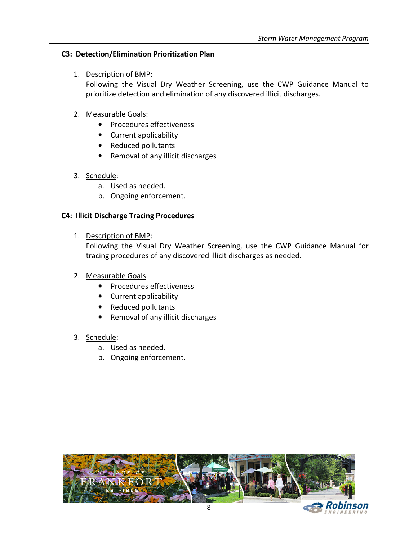## C3: Detection/Elimination Prioritization Plan

## 1. Description of BMP:

Following the Visual Dry Weather Screening, use the CWP Guidance Manual to prioritize detection and elimination of any discovered illicit discharges.

## 2. Measurable Goals:

- Procedures effectiveness
- Current applicability
- Reduced pollutants
- Removal of any illicit discharges

#### 3. Schedule:

- a. Used as needed.
- b. Ongoing enforcement.

## C4: Illicit Discharge Tracing Procedures

1. Description of BMP:

Following the Visual Dry Weather Screening, use the CWP Guidance Manual for tracing procedures of any discovered illicit discharges as needed.

#### 2. Measurable Goals:

- Procedures effectiveness
- Current applicability
- Reduced pollutants
- Removal of any illicit discharges

- a. Used as needed.
- b. Ongoing enforcement.

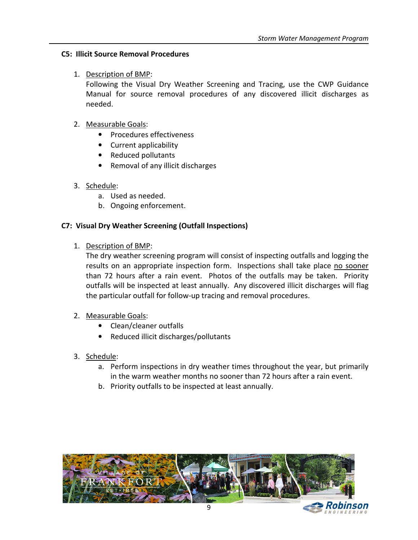# C5: Illicit Source Removal Procedures

# 1. Description of BMP:

Following the Visual Dry Weather Screening and Tracing, use the CWP Guidance Manual for source removal procedures of any discovered illicit discharges as needed.

## 2. Measurable Goals:

- Procedures effectiveness
- Current applicability
- Reduced pollutants
- Removal of any illicit discharges

# 3. Schedule:

- a. Used as needed.
- b. Ongoing enforcement.

# C7: Visual Dry Weather Screening (Outfall Inspections)

1. Description of BMP:

The dry weather screening program will consist of inspecting outfalls and logging the results on an appropriate inspection form. Inspections shall take place no sooner than 72 hours after a rain event. Photos of the outfalls may be taken. Priority outfalls will be inspected at least annually. Any discovered illicit discharges will flag the particular outfall for follow-up tracing and removal procedures.

## 2. Measurable Goals:

- Clean/cleaner outfalls
- Reduced illicit discharges/pollutants
- 3. Schedule:
	- a. Perform inspections in dry weather times throughout the year, but primarily in the warm weather months no sooner than 72 hours after a rain event.
	- b. Priority outfalls to be inspected at least annually.

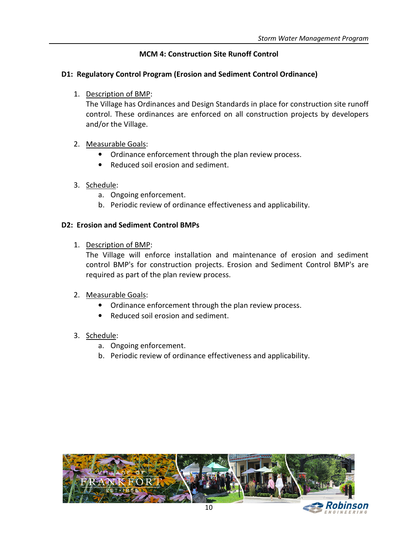# MCM 4: Construction Site Runoff Control

## D1: Regulatory Control Program (Erosion and Sediment Control Ordinance)

1. Description of BMP:

The Village has Ordinances and Design Standards in place for construction site runoff control. These ordinances are enforced on all construction projects by developers and/or the Village.

## 2. Measurable Goals:

- Ordinance enforcement through the plan review process.
- Reduced soil erosion and sediment.

## 3. Schedule:

- a. Ongoing enforcement.
- b. Periodic review of ordinance effectiveness and applicability.

#### D2: Erosion and Sediment Control BMPs

1. Description of BMP:

The Village will enforce installation and maintenance of erosion and sediment control BMP's for construction projects. Erosion and Sediment Control BMP's are required as part of the plan review process.

#### 2. Measurable Goals:

- Ordinance enforcement through the plan review process.
- Reduced soil erosion and sediment.

- a. Ongoing enforcement.
- b. Periodic review of ordinance effectiveness and applicability.

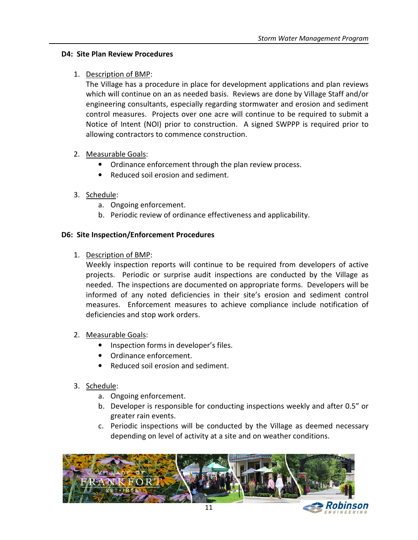## D4: Site Plan Review Procedures

## 1. Description of BMP:

The Village has a procedure in place for development applications and plan reviews which will continue on an as needed basis. Reviews are done by Village Staff and/or engineering consultants, especially regarding stormwater and erosion and sediment control measures. Projects over one acre will continue to be required to submit a Notice of Intent (NOI) prior to construction. A signed SWPPP is required prior to allowing contractors to commence construction.

# 2. Measurable Goals:

- Ordinance enforcement through the plan review process.
- Reduced soil erosion and sediment.

# 3. Schedule:

- a. Ongoing enforcement.
- b. Periodic review of ordinance effectiveness and applicability.

# D6: Site Inspection/Enforcement Procedures

1. Description of BMP:

Weekly inspection reports will continue to be required from developers of active projects. Periodic or surprise audit inspections are conducted by the Village as needed. The inspections are documented on appropriate forms. Developers will be informed of any noted deficiencies in their site's erosion and sediment control measures. Enforcement measures to achieve compliance include notification of deficiencies and stop work orders.

- 2. Measurable Goals:
	- Inspection forms in developer's files.
	- Ordinance enforcement.
	- Reduced soil erosion and sediment.

- a. Ongoing enforcement.
- b. Developer is responsible for conducting inspections weekly and after 0.5" or greater rain events.
- c. Periodic inspections will be conducted by the Village as deemed necessary depending on level of activity at a site and on weather conditions.

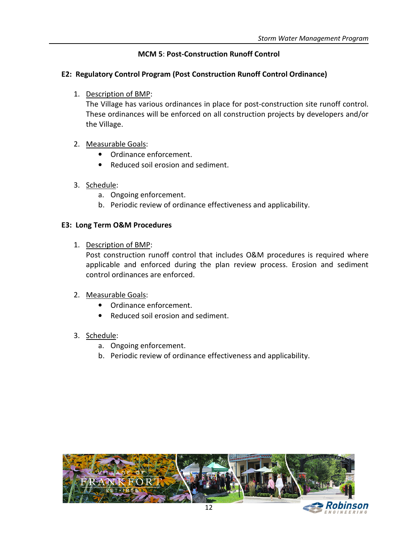# MCM 5: Post-Construction Runoff Control

## E2: Regulatory Control Program (Post Construction Runoff Control Ordinance)

1. Description of BMP:

The Village has various ordinances in place for post-construction site runoff control. These ordinances will be enforced on all construction projects by developers and/or the Village.

# 2. Measurable Goals:

- Ordinance enforcement.
- Reduced soil erosion and sediment.
- 3. Schedule:
	- a. Ongoing enforcement.
	- b. Periodic review of ordinance effectiveness and applicability.

## E3: Long Term O&M Procedures

1. Description of BMP:

Post construction runoff control that includes O&M procedures is required where applicable and enforced during the plan review process. Erosion and sediment control ordinances are enforced.

## 2. Measurable Goals:

- Ordinance enforcement.
- Reduced soil erosion and sediment.

- a. Ongoing enforcement.
- b. Periodic review of ordinance effectiveness and applicability.

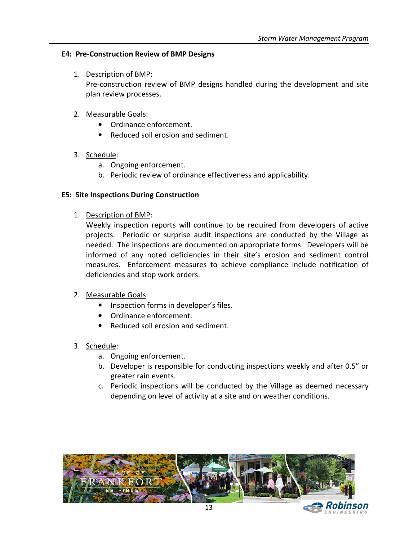## E4: Pre-Construction Review of BMP Designs

1. Description of BMP:

Pre-construction review of BMP designs handled during the development and site plan review processes.

## 2. Measurable Goals:

- Ordinance enforcement.
- Reduced soil erosion and sediment.
- 3. Schedule:
	- a. Ongoing enforcement.
	- b. Periodic review of ordinance effectiveness and applicability.

#### E5: Site Inspections During Construction

1. Description of BMP:

Weekly inspection reports will continue to be required from developers of active projects. Periodic or surprise audit inspections are conducted by the Village as needed. The inspections are documented on appropriate forms. Developers will be informed of any noted deficiencies in their site's erosion and sediment control measures. Enforcement measures to achieve compliance include notification of deficiencies and stop work orders.

- 2. Measurable Goals:
	- Inspection forms in developer's files.
	- Ordinance enforcement.
	- Reduced soil erosion and sediment.
- 3. Schedule:
	- a. Ongoing enforcement.
	- b. Developer is responsible for conducting inspections weekly and after 0.5" or greater rain events.
	- c. Periodic inspections will be conducted by the Village as deemed necessary depending on level of activity at a site and on weather conditions.

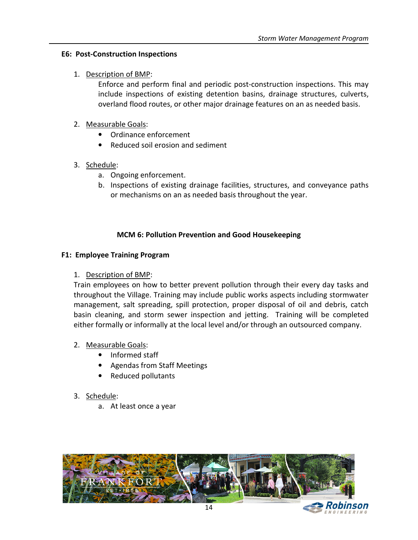## E6: Post-Construction Inspections

# 1. Description of BMP:

Enforce and perform final and periodic post-construction inspections. This may include inspections of existing detention basins, drainage structures, culverts, overland flood routes, or other major drainage features on an as needed basis.

# 2. Measurable Goals:

- Ordinance enforcement
- Reduced soil erosion and sediment

# 3. Schedule:

- a. Ongoing enforcement.
- b. Inspections of existing drainage facilities, structures, and conveyance paths or mechanisms on an as needed basis throughout the year.

# MCM 6: Pollution Prevention and Good Housekeeping

# F1: Employee Training Program

## 1. Description of BMP:

Train employees on how to better prevent pollution through their every day tasks and throughout the Village. Training may include public works aspects including stormwater management, salt spreading, spill protection, proper disposal of oil and debris, catch basin cleaning, and storm sewer inspection and jetting. Training will be completed either formally or informally at the local level and/or through an outsourced company.

## 2. Measurable Goals:

- Informed staff
- Agendas from Staff Meetings
- Reduced pollutants

# 3. Schedule:

a. At least once a year

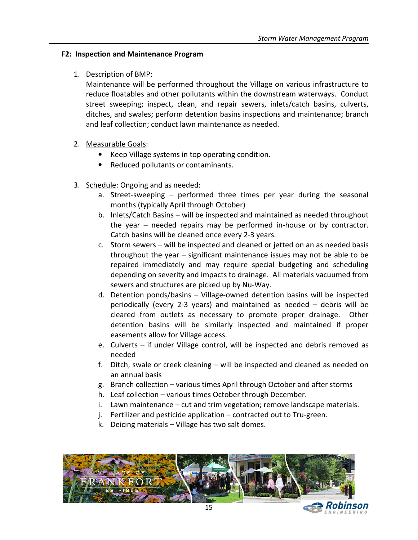# F2: Inspection and Maintenance Program

# 1. Description of BMP:

Maintenance will be performed throughout the Village on various infrastructure to reduce floatables and other pollutants within the downstream waterways. Conduct street sweeping; inspect, clean, and repair sewers, inlets/catch basins, culverts, ditches, and swales; perform detention basins inspections and maintenance; branch and leaf collection; conduct lawn maintenance as needed.

# 2. Measurable Goals:

- Keep Village systems in top operating condition.
- Reduced pollutants or contaminants.
- 3. Schedule: Ongoing and as needed:
	- a. Street-sweeping performed three times per year during the seasonal months (typically April through October)
	- b. Inlets/Catch Basins will be inspected and maintained as needed throughout the year – needed repairs may be performed in-house or by contractor. Catch basins will be cleaned once every 2-3 years.
	- c. Storm sewers will be inspected and cleaned or jetted on an as needed basis throughout the year – significant maintenance issues may not be able to be repaired immediately and may require special budgeting and scheduling depending on severity and impacts to drainage. All materials vacuumed from sewers and structures are picked up by Nu-Way.
	- d. Detention ponds/basins Village-owned detention basins will be inspected periodically (every 2-3 years) and maintained as needed – debris will be cleared from outlets as necessary to promote proper drainage. Other detention basins will be similarly inspected and maintained if proper easements allow for Village access.
	- e. Culverts if under Village control, will be inspected and debris removed as needed
	- f. Ditch, swale or creek cleaning will be inspected and cleaned as needed on an annual basis
	- g. Branch collection various times April through October and after storms
	- h. Leaf collection various times October through December.
	- i. Lawn maintenance cut and trim vegetation; remove landscape materials.
	- j. Fertilizer and pesticide application contracted out to Tru-green.
	- k. Deicing materials Village has two salt domes.

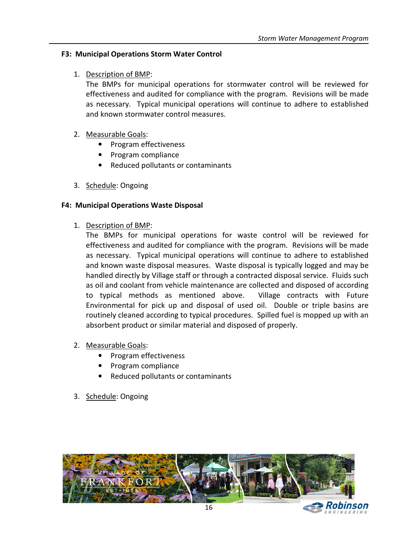# F3: Municipal Operations Storm Water Control

# 1. Description of BMP:

The BMPs for municipal operations for stormwater control will be reviewed for effectiveness and audited for compliance with the program. Revisions will be made as necessary. Typical municipal operations will continue to adhere to established and known stormwater control measures.

# 2. Measurable Goals:

- Program effectiveness
- Program compliance
- Reduced pollutants or contaminants
- 3. Schedule: Ongoing

# F4: Municipal Operations Waste Disposal

1. Description of BMP:

The BMPs for municipal operations for waste control will be reviewed for effectiveness and audited for compliance with the program. Revisions will be made as necessary. Typical municipal operations will continue to adhere to established and known waste disposal measures. Waste disposal is typically logged and may be handled directly by Village staff or through a contracted disposal service. Fluids such as oil and coolant from vehicle maintenance are collected and disposed of according to typical methods as mentioned above. Village contracts with Future Environmental for pick up and disposal of used oil. Double or triple basins are routinely cleaned according to typical procedures. Spilled fuel is mopped up with an absorbent product or similar material and disposed of properly.

- 2. Measurable Goals:
	- Program effectiveness
	- Program compliance
	- Reduced pollutants or contaminants
- 3. Schedule: Ongoing

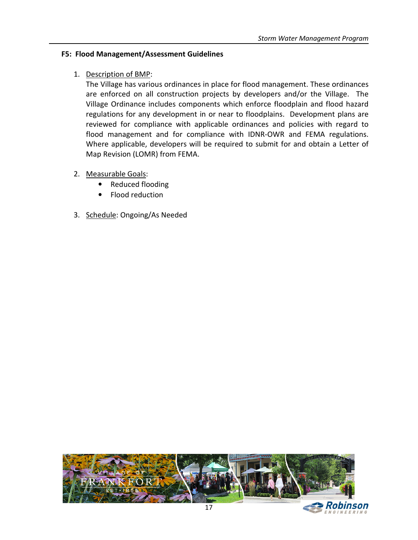# F5: Flood Management/Assessment Guidelines

1. Description of BMP:

The Village has various ordinances in place for flood management. These ordinances are enforced on all construction projects by developers and/or the Village. The Village Ordinance includes components which enforce floodplain and flood hazard regulations for any development in or near to floodplains. Development plans are reviewed for compliance with applicable ordinances and policies with regard to flood management and for compliance with IDNR-OWR and FEMA regulations. Where applicable, developers will be required to submit for and obtain a Letter of Map Revision (LOMR) from FEMA.

- 2. Measurable Goals:
	- Reduced flooding
	- Flood reduction
- 3. Schedule: Ongoing/As Needed